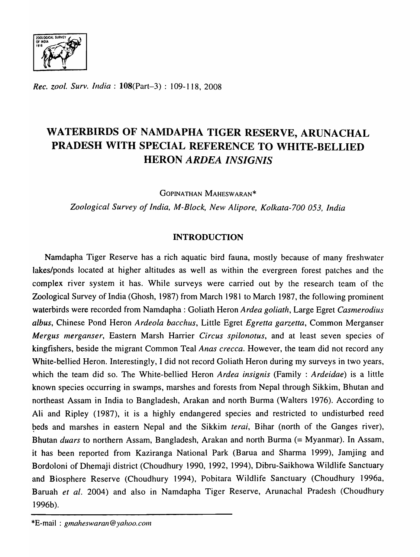

*Rec. zool. Surv. India:* l08(Part-3) : 109-118, 2008

# WATERBIRDS OF NAMDAPHA TIGER RESERVE, ARUNACHAL PRADESH WITH SPECIAL REFERENCE TO WHITE-BELLIED HERON *ARDEA INSIGNIS*

GOPINATHAN MAHESWARAN\*

*Zoological Survey of India, M-Block, New Alipore, Kolkata-700 053, India* 

# INTRODUCTION

Namdapha Tiger Reserve has a rich aquatic bird fauna, mostly because of many freshwater lakes/ponds located at higher altitudes as well as within the evergreen forest patches and the complex river system it has. While surveys were carried out by the research team of the Zoological Survey of India (Ghosh, 1987) from March 1981 to March 1987, the following prominent waterbirds were recorded from Namdapha : Goliath Heron *Ardea goliath,* Large Egret *Casmerodius albus,* Chinese Pond Heron *Ardeola bacchus,* Little Egret *Egretta garzetta,* Common Merganser *Mergus Inerganser,* Eastern Marsh Harrier *Circus spilonotus,* and at least seven species of kingfishers, beside the migrant Common Teal *Anas crecca.* However, the team did not record any White-bellied Heron. Interestingly, I did not record Goliath Heron during my surveys in two years, which the team did so. The White-bellied Heron *Ardea insignis* (Family : *Ardeidae)* is a little known species occurring in swamps, marshes and forests from Nepal through Sikkim, Bhutan and northeast Assam in India to Bangladesh, Arakan and north Burma (Walters 1976). According to Ali and Ripley (1987), it is a highly endangered species and restricted to undisturbed reed beds and marshes in eastern Nepal and the Sikkim *terai*, Bihar (north of the Ganges river), Bhutan *duars* to northern Assam, Bangladesh, Arakan and north Burma (= Myanmar). In Assam, it has been reported from Kaziranga National Park (Barua and Sharma 1999), Jamjing and Bordoloni of Dhemaji district (Choudhury 1990, 1992, 1994), Dibru-Saikhowa Wildlife Sanctuary and Biosphere Reserve (Choudhury 1994), Pobitara Wildlife Sanctuary (Choudhury 1996a, Baruah *et al.* 2004) and also in Namdapha Tiger Reserve, Arunachal Pradesh (Choudhury 1996b).

\*E-mail: *gmaheswaran@yahoo.com*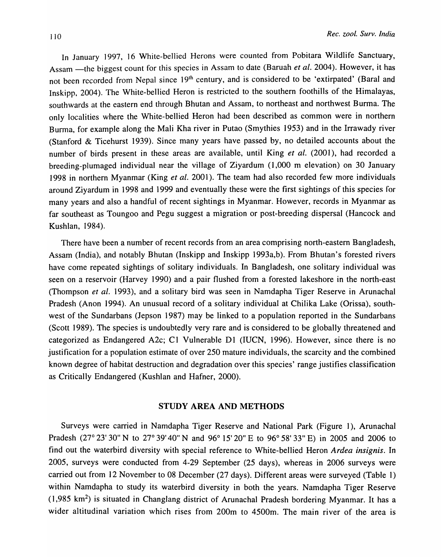In January 1997, 16 White-bellied Herons were counted from Pobitara Wildlife Sanctuary, Assam -the biggest count for this species in Assam to date (Baruah *et al.* 2004). However, it has not been recorded from Nepal since 19<sup>th</sup> century, and is considered to be 'extirpated' (Baral and Inskipp, 2004). The White-bellied Heron is restricted to the southern foothills of the Himalayas, southwards at the eastern end through Bhutan and Assam, to northeast and northwest Burma. The only localities where the White-bellied Heron had been described as common were in northern Burma, for example along the Mali Kha river in Putao (Smythies 1953) and in the Irrawady river (Stanford & Ticehurst 1939). Since many years have passed by, no detailed accounts about the number of birds present in these areas are available, until King *et al.* (2001), had recorded a breeding-plumaged individual near the village of Ziyardum (1,000 m elevation) on 30 January 1998 in northern Myanmar (King *et al.* 2001). The team had also recorded few more individuals around Ziyardum in 1998 and 1999 and eventually these were the first sightings of this species for many years and also a handful of recent sightings in Myanmar. However, records in Myanmar as far southeast as Toungoo and Pegu suggest a migration or post-breeding dispersal (Hancock and Kushlan, 1984).

There have been a number of recent records from an area comprising north-eastern Bangladesh, Assam (India), and notably Bhutan (lnskipp and Inskipp 1993a,b). From Bhutan's forested rivers have come repeated sightings of solitary individuals. In Bangladesh, one solitary individual was seen on a reservoir (Harvey 1990) and a pair flushed from a forested lakeshore in the north-east (Thompson *et ai.* 1993), and a solitary bird was seen in Namdapha Tiger Reserve in Arunachal Pradesh (Anon 1994). An unusual record of a solitary individual at Chilika Lake (Orissa), southwest of the Sundarbans (Jepson 1987) may be linked to a population reported in the Sundarbans (Scott 1989). The species is undoubtedly very rare and is considered to be globally threatened and categorized as Endangered A2c; C1 Vulnerable D1 (IUCN, 1996). However, since there is no justification for a population estimate of over 250 mature individuals, the scarcity and the combined known degree of habitat destruction and degradation over this species' range justifies classification as Critically Endangered (Kushlan and Hafner, 2000).

#### STUDY AREA AND METHODS

Surveys were carried in Namdapha Tiger Reserve and National Park (Figure 1), Arunachal Pradesh (27° 23' 30" N to 27° 39' 40" N and 96° 15' 20" E to 96° 58' 33" E) in 2005 and 2006 to find out the waterbird diversity with special reference to White-bellied Heron *Ardea insignis.* In 2005, surveys were conducted from 4-29 September (25 days), whereas in 2006 surveys were carried out from 12 November to 08 December (27 days). Different areas were surveyed (Table 1) within Namdapha to study its waterbird diversity in both the years. Namdapha Tiger Reserve  $(1,985 \text{ km}^2)$  is situated in Changlang district of Arunachal Pradesh bordering Myanmar. It has a wider altitudinal variation which rises from 200m to 4500m. The main river of the area is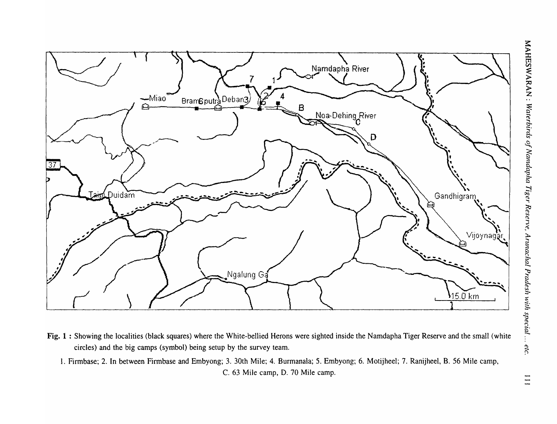$\begin{array}{c} 111 \\ 111 \end{array}$ 



- Fig. 1 : Showing the localities (black squares) where the White-bellied Herons were sighted inside the Namdapha Tiger Reserve and the small (white circles) and the big camps (symbol) being setup by the survey team.
	- 1. Firmbase; 2. In between Firmbase and Embyong; 3. 30th Mile; 4. Burmanala; 5. Embyong; 6. Motijheel; 7. Ranijheel, B. 56 Mile camp, C. 63 Mile camp, D. 70 Mile camp.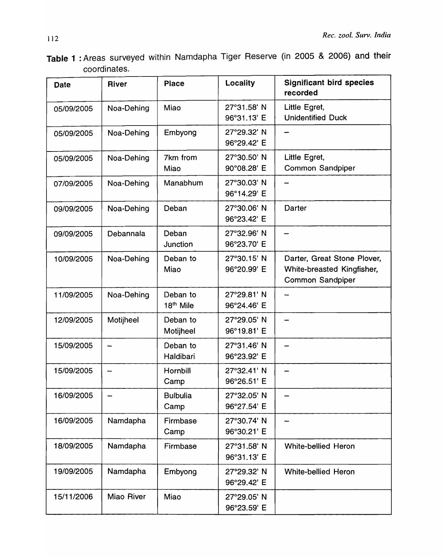Table 1 : Areas surveyed within Namdapha Tiger Reserve (in 2005 & 2006) and their coordinates.

| <b>Date</b> | River      | <b>Place</b>                      | Locality                   | <b>Significant bird species</b><br>recorded                                          |
|-------------|------------|-----------------------------------|----------------------------|--------------------------------------------------------------------------------------|
| 05/09/2005  | Noa-Dehing | Miao                              | 27°31.58' N<br>96°31.13' E | Little Egret,<br><b>Unidentified Duck</b>                                            |
| 05/09/2005  | Noa-Dehing | Embyong                           | 27°29.32' N<br>96°29.42' E |                                                                                      |
| 05/09/2005  | Noa-Dehing | 7km from<br>Miao                  | 27°30.50' N<br>90°08.28' E | Little Egret,<br>Common Sandpiper                                                    |
| 07/09/2005  | Noa-Dehing | Manabhum                          | 27°30.03' N<br>96°14.29' E |                                                                                      |
| 09/09/2005  | Noa-Dehing | Deban                             | 27°30.06' N<br>96°23.42' E | Darter                                                                               |
| 09/09/2005  | Debannala  | Deban<br>Junction                 | 27°32.96' N<br>96°23.70' E |                                                                                      |
| 10/09/2005  | Noa-Dehing | Deban to<br>Miao                  | 27°30.15' N<br>96°20.99' E | Darter, Great Stone Plover,<br>White-breasted Kingfisher,<br><b>Common Sandpiper</b> |
| 11/09/2005  | Noa-Dehing | Deban to<br>18 <sup>th</sup> Mile | 27°29.81' N<br>96°24.46' E |                                                                                      |
| 12/09/2005  | Motijheel  | Deban to<br>Motijheel             | 27°29.05' N<br>96°19.81' E |                                                                                      |
| 15/09/2005  |            | Deban to<br>Haldibari             | 27°31.46' N<br>96°23.92' E |                                                                                      |
| 15/09/2005  |            | Hornbill<br>Camp                  | 27°32.41' N<br>96°26.51' E |                                                                                      |
| 16/09/2005  |            | <b>Bulbulia</b><br>Camp           | 27°32.05' N<br>96°27.54' E |                                                                                      |
| 16/09/2005  | Namdapha   | Firmbase<br>Camp                  | 27°30.74' N<br>96°30.21' E |                                                                                      |
| 18/09/2005  | Namdapha   | Firmbase                          | 27°31.58' N<br>96°31.13' E | <b>White-bellied Heron</b>                                                           |
| 19/09/2005  | Namdapha   | Embyong                           | 27°29.32' N<br>96°29.42' E | <b>White-bellied Heron</b>                                                           |
| 15/11/2006  | Miao River | Miao                              | 27°29.05' N<br>96°23.59' E |                                                                                      |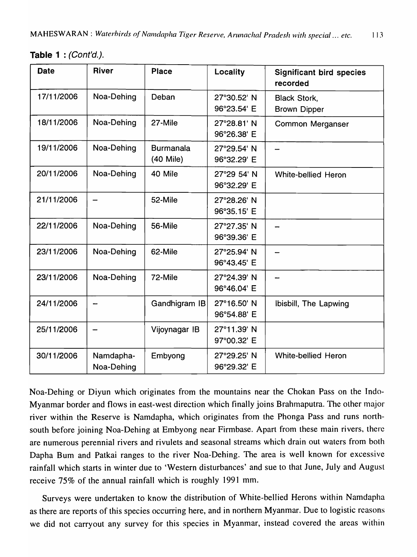Table 1 : (Cont'd.).

| <b>Date</b> | <b>River</b>            | <b>Place</b>                    | Locality                   | <b>Significant bird species</b><br>recorded |
|-------------|-------------------------|---------------------------------|----------------------------|---------------------------------------------|
| 17/11/2006  | Noa-Dehing              | Deban                           | 27°30.52' N<br>96°23.54' E | <b>Black Stork,</b><br><b>Brown Dipper</b>  |
| 18/11/2006  | Noa-Dehing              | 27-Mile                         | 27°28.81' N<br>96°26.38' E | <b>Common Merganser</b>                     |
| 19/11/2006  | Noa-Dehing              | <b>Burmanala</b><br>$(40$ Mile) | 27°29.54' N<br>96°32.29' E |                                             |
| 20/11/2006  | Noa-Dehing              | 40 Mile                         | 27°29 54' N<br>96°32.29' E | <b>White-bellied Heron</b>                  |
| 21/11/2006  |                         | 52-Mile                         | 27°28.26' N<br>96°35.15' E |                                             |
| 22/11/2006  | Noa-Dehing              | 56-Mile                         | 27°27.35' N<br>96°39.36' E |                                             |
| 23/11/2006  | Noa-Dehing              | 62-Mile                         | 27°25.94' N<br>96°43.45' E |                                             |
| 23/11/2006  | Noa-Dehing              | 72-Mile                         | 27°24.39' N<br>96°46.04' E |                                             |
| 24/11/2006  |                         | Gandhigram IB                   | 27°16.50' N<br>96°54.88' E | Ibisbill, The Lapwing                       |
| 25/11/2006  |                         | Vijoynagar IB                   | 27°11.39' N<br>97°00.32' E |                                             |
| 30/11/2006  | Namdapha-<br>Noa-Dehing | Embyong                         | 27°29.25' N<br>96°29.32' E | <b>White-bellied Heron</b>                  |

Noa-Dehing or Diyun which originates from the mountains near the Chokan Pass on the Indo-Myanmar border and flows in east-west direction which finally joins Brahmaputra. The other major river within the Reserve is Namdapha, which originates from the Phonga Pass and runs northsouth before joining Noa-Dehing at Embyong near Firmbase. Apart from these main rivers, there are numerous perennial rivers and rivulets and seasonal streams which drain out waters from both Dapha Bum and Patkai ranges to the river Noa-Dehing. The area is well known for excessive rainfall which starts in winter due to 'Western disturbances' and sue to that June, July and August receive 75% of the annual rainfall which is roughly 1991 mm.

Surveys were undertaken to know the distribution of White-bellied Herons within Namdapha as there are reports of this species occurring here, and in northern Myanmar. Due to logistic reasons we did not carryout any survey for this species in Myanmar, instead covered the areas within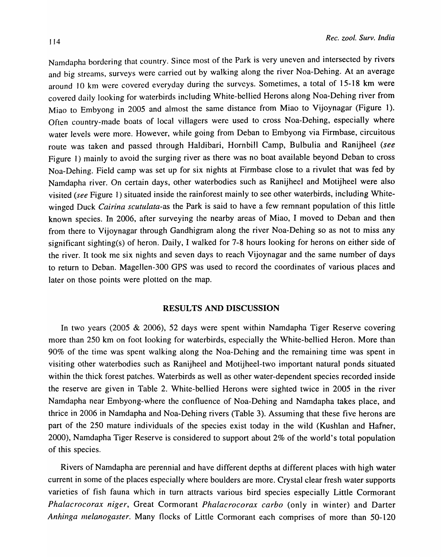Namdapha bordering that country. Since most of the Park is very uneven and intersected by rivers and big streams, surveys were carried out by walking along the river Noa-Dehing. At an average around 10 km were covered everyday during the surveys. Sometimes, a total of 15-18 km were covered daily looking for waterbirds including White-bellied Herons along Noa-Dehing river from Miao to Embyong in 2005 and almost the same distance from Miao to Vijoynagar (Figure 1). Often country-made boats of local villagers were used to cross Noa-Dehing, especially where water levels were more. However, while going from Deban to Embyong via Firmbase, circuitous route was taken and passed through Haldibari, Hornbill Camp, Bulbulia and Ranijheel (see Figure I) mainly to avoid the surging river as there was no boat available beyond Deban to cross Noa-Dehing. Field camp was set up for six nights at Firmbase close to a rivulet that was fed by Namdapha river. On certain days, other waterbodies such as Ranijheel and Motijheel were also visited (see Figure 1) situated inside the rainforest mainly to see other waterbirds, including Whitewinged Duck *Cairina scutulata*-as the Park is said to have a few remnant population of this little known species. In 2006, after surveying the nearby areas of Miao, I moved to Deban and then from there to Vijoynagar through Gandhigram along the river Noa-Dehing so as not to miss any significant sighting(s) of heron. Daily, I walked for 7-8 hours looking for herons on either side of the river. It took me six nights and seven days to reach Vijoynagar and the same number of days to return to Deban. Magellen-300 GPS was used to record the coordinates of various places and later on those points were plotted on the map.

### RESULTS AND DISCUSSION

In two years (2005 & 2006), 52 days were spent within Namdapha Tiger Reserve covering more than 250 km on foot looking for waterbirds, especially the White-bellied Heron. More than 90% of the time was spent walking along the Noa-Dehing and the remaining time was spent in visiting other waterbodies such as Ranijheel and Motijheel-two important natural ponds situated within the thick forest patches. Waterbirds as well as other water-dependent species recorded inside the reserve are given in Table 2. White-bellied Herons were sighted twice in 2005 in the river Namdapha near Embyong-where the confluence of Noa-Dehing and Namdapha takes place, and thrice in 2006 in Namdapha and Noa-Dehing rivers (Table 3). Assuming that these five herons are part of the 250 mature individuals of the species exist today in the wild (Kushlan and Hafner, 2000), Namdapha Tiger Reserve is considered to support about 2% of the world's total population of this species.

Rivers of Namdapha are perennial and have different depths at different places with high water current in some of the places especially where boulders are more. Crystal clear fresh water supports varieties of fish fauna which in turn attracts various bird species especially Little Cormorant *Phalacrocorax niger,* Great Cormorant *Phalacrocorax carbo* (only in winter) and Darter *Anhinga melanogaster.* Many flocks of Little Cormorant each comprises of more than 50-120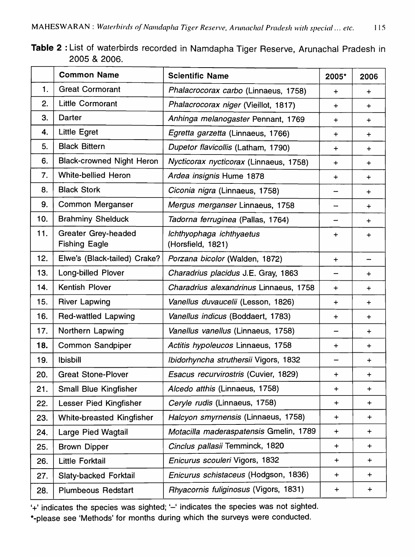| Table 2: List of waterbirds recorded in Namdapha Tiger Reserve, Arunachal Pradesh in |  |  |
|--------------------------------------------------------------------------------------|--|--|
| 2005 & 2006.                                                                         |  |  |

|     | <b>Common Name</b>                                 | <b>Scientific Name</b>                        | 2005*     | 2006      |
|-----|----------------------------------------------------|-----------------------------------------------|-----------|-----------|
| 1.  | <b>Great Cormorant</b>                             | Phalacrocorax carbo (Linnaeus, 1758)          | $\ddot{}$ | $\ddot{}$ |
| 2.  | Little Cormorant                                   | Phalacrocorax niger (Vieillot, 1817)          | $\div$    | $\ddot{}$ |
| 3.  | Darter                                             | Anhinga melanogaster Pennant, 1769            | $\div$    | $+$       |
| 4.  | <b>Little Egret</b>                                | Egretta garzetta (Linnaeus, 1766)             | ÷         | $\div$    |
| 5.  | <b>Black Bittern</b>                               | Dupetor flavicollis (Latham, 1790)            | $\div$    | $+$       |
| 6.  | <b>Black-crowned Night Heron</b>                   | Nycticorax nycticorax (Linnaeus, 1758)        | $\ddot{}$ | $\ddot{}$ |
| 7.  | <b>White-bellied Heron</b>                         | Ardea insignis Hume 1878                      | $\ddot{}$ | $\ddot{}$ |
| 8.  | <b>Black Stork</b>                                 | Ciconia nigra (Linnaeus, 1758)                |           | $+$       |
| 9.  | Common Merganser                                   | Mergus merganser Linnaeus, 1758               |           | $\div$    |
| 10. | <b>Brahminy Shelduck</b>                           | Tadorna ferruginea (Pallas, 1764)             |           | $\ddot{}$ |
| 11. | <b>Greater Grey-headed</b><br><b>Fishing Eagle</b> | Ichthyophaga ichthyaetus<br>(Horsfield, 1821) | $\ddot{}$ | $\div$    |
| 12. | Elwe's (Black-tailed) Crake?                       | Porzana bicolor (Walden, 1872)                | $\div$    |           |
| 13. | Long-billed Plover                                 | Charadrius placidus J.E. Gray, 1863           |           | $+$       |
| 14. | Kentish Plover                                     | Charadrius alexandrinus Linnaeus, 1758        | $\ddot{}$ | $\div$    |
| 15. | <b>River Lapwing</b>                               | Vanellus duvaucelii (Lesson, 1826)            | $\ddot{}$ | $\div$    |
| 16. | <b>Red-wattled Lapwing</b>                         | Vanellus indicus (Boddaert, 1783)             | $\ddot{}$ | $\ddot{}$ |
| 17. | Northern Lapwing                                   | Vanellus vanellus (Linnaeus, 1758)            |           | $\div$    |
| 18. | <b>Common Sandpiper</b>                            | Actitis hypoleucos Linnaeus, 1758             | +         | $\div$    |
| 19. | <b>Ibisbill</b>                                    | Ibidorhyncha struthersii Vigors, 1832         |           | $\ddot{}$ |
| 20. | <b>Great Stone-Plover</b>                          | Esacus recurvirostris (Cuvier, 1829)          | $\ddot{}$ | $\ddot{}$ |
| 21. | <b>Small Blue Kingfisher</b>                       | Alcedo atthis (Linnaeus, 1758)                | $\ddot{}$ | $\ddot{}$ |
| 22. | Lesser Pied Kingfisher                             | Ceryle rudis (Linnaeus, 1758)                 | $\div$    | $+$       |
| 23. | <b>White-breasted Kingfisher</b>                   | Halcyon smyrnensis (Linnaeus, 1758)           | ┿         | $\div$    |
| 24. | Large Pied Wagtail                                 | Motacilla maderaspatensis Gmelin, 1789        | $\div$    | $\ddot{}$ |
| 25. | <b>Brown Dipper</b>                                | Cinclus pallasii Temminck, 1820               | $\ddot{}$ | $\div$    |
| 26. | <b>Little Forktail</b>                             | Enicurus scouleri Vigors, 1832                | +         | $\pm$     |
| 27. | Slaty-backed Forktail                              | Enicurus schistaceus (Hodgson, 1836)          | $\ddot{}$ | $+$       |
| 28. | <b>Plumbeous Redstart</b>                          | Rhyacornis fuliginosus (Vigors, 1831)         | $\ddot{}$ | $\pm$     |

'+' indicates the species was sighted; '-' indicates the species was not sighted. \*-please see 'Methods' for months during which the surveys were conducted.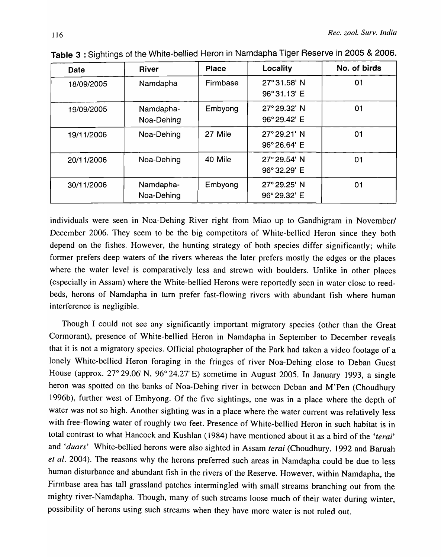| Date       | <b>River</b> | <b>Place</b> | <b>Locality</b> | No. of birds |
|------------|--------------|--------------|-----------------|--------------|
| 18/09/2005 | Namdapha     | Firmbase     | 27°31.58' N     | 01           |
|            |              |              | 96°31.13' E     |              |
| 19/09/2005 | Namdapha-    | Embyong      | 27° 29.32' N    | 01           |
|            | Noa-Dehing   |              | 96°29.42' E     |              |
| 19/11/2006 | Noa-Dehing   | 27 Mile      | 27° 29.21' N    | 01           |
|            |              |              | 96°26.64' E     |              |
| 20/11/2006 | Noa-Dehing   | 40 Mile      | 27° 29.54' N    | 01           |
|            |              |              | 96°32.29' E     |              |
| 30/11/2006 | Namdapha-    | Embyong      | 27° 29.25' N    | 01           |
|            | Noa-Dehing   |              | 96°29.32' E     |              |

Table 3 : Sightings of the White-bellied Heron in Namdapha Tiger Reserve in 2005 & 2006.

individuals were seen in Noa-Dehing River right from Miao up to Gandhigram in November/ December 2006. They seem to be the big competitors of White-bellied Heron since they both depend on the fishes. However, the hunting strategy of both species differ significantly; while former prefers deep waters of the rivers whereas the later prefers mostly the edges or the places where the water level is comparatively less and strewn with boulders. Unlike in other places (especially in Assam) where the White-bellied Herons were reportedly seen in water close to reedbeds, herons of Namdapha in turn prefer fast-flowing rivers with abundant fish where human interference is negligible.

Though I could not see any significantly important migratory species (other than the Great Cormorant), presence of White-bellied Heron in Namdapha in September to December reveals that it is not a migratory species. Official photographer of the Park had taken a video footage of a lonely White-bellied Heron foraging in the fringes of river Noa-Dehing close to Deban Guest House (approx. 27° 29.06' N, 96° 24.27' E) sometime in August 2005. In January 1993, a single heron was spotted on the banks of Noa-Dehing river in between Deban and M'Pen (Choudhury 1996b), further west of Embyong. Of the five sightings, one was in a place where the depth of water was not so high. Another sighting was in a place where the water current was relatively less with free-flowing water of roughly two feet. Presence of White-bellied Heron in such habitat is in total contrast to what Hancock and Kushlan (1984) have mentioned about it as a bird of the *'terai'*  and 'duars' White-bellied herons were also sighted in Assam *terai* (Choudhury, 1992 and Baruah *et al.* 2004). The reasons why the herons preferred such areas in Namdapha could be due to less human disturbance and abundant fish in the rivers of the Reserve. However, within Namdapha, the Firmbase area has tall grassland patches intermingled with small streams branching out from the mighty river-Namdapha. Though, many of such streams loose much of their water during winter, possibility of herons using such streams when they have more water is not ruled out.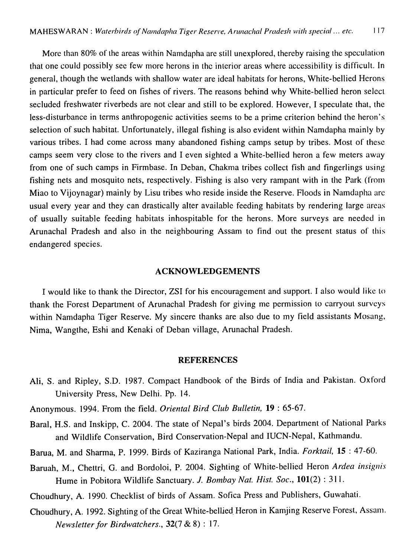More than 80% of the areas within Namdapha are still unexplored, thereby raising the speculation that one could possibly sec few more herons in the interior areas where accessibility is difficult. In general, though the wetlands with shallow water are ideal habitats for herons, White-bellied Herons in particular prefer to feed on fishes of rivers. The reasons behind why White-bellied heron select secluded freshwater riverbeds are not clear and still to be explored. However, I speculate that, the less-disturbance in terms anthropogenic activities seems to be a prime criterion behind the heron's selection of such habitat. Unfortunately, illegal fishing is also evident within Namdapha mainly by various tribes. I had come across many abandoned fishing camps setup by tribes. Most of these camps seem very close to the rivers and I even sighted a White-bellied heron a few meters away from one of such camps in Firmbase. In Deban, Chakma tribes collect fish and fingerlings using fishing nets and mosquito nets, respectively. Fishing is also very rampant with in the Park (from Miao to Vijoynagar) mainly by Lisu tribes who reside inside the Reserve. Floods in Namdapha are usual every year and they can drastically alter available feeding habitats by rendering large areas of usually suitable feeding habitats inhospitable for the herons. More surveys are needed in Arunachal Pradesh and also in the neighbouring Assam to find out the present status of this endangered species.

## ACKNOWLEDGEMENTS

I would like to thank the Director, ZSI for his encouragement and support. I also would like to thank the Forest Department of Arunachal Pradesh for giving me permission to carryout surveys within Namdapha Tiger Reserve. My sincere thanks are also due to my field assistants Mosang, Nima, Wangthe, Eshi and Kenaki of Deban village, Arunachal Pradesh.

#### REFERENCES

- Ali, S. and Ripley, S.D. 1987. Compact Handbook of the Birds of India and Pakistan. Oxford University Press, New Delhi. Pp. 14.
- Anonymous. 1994. From the field. *Oriental Bird Club Bulletin,* 19 : 65-67.
- Baral, H.S. and Inskipp, C. 2004. The state of Nepal's birds 2004. Department of National Parks and Wildlife Conservation, Bird Conservation-Nepal and IUCN-Nepal, Kathmandu.
- Barua, M. and Sharma, P. 1999. Birds of Kaziranga National Park, India. *Forktail,* 15 : 47-60.
- Baruah, M., Chettri, G. and Bordoloi, P. 2004. Sighting of White-bellied Heron Ardea insignis Hume in Pobitora Wildlife Sanctuary. J. *Bombay Nat. Hist. Soc.*, **101**(2): 311.
- Choudhury, A. 1990. Checklist of birds of Assam. Sofica Press and Publishers, Guwahati.
- Choudhury, A. 1992. Sighting of the Great White-belljed. Heron in Kamjing Reserve Forest, Assanl. *Newsletter for Birdwatchers.,* 32(7 & 8) : 17.